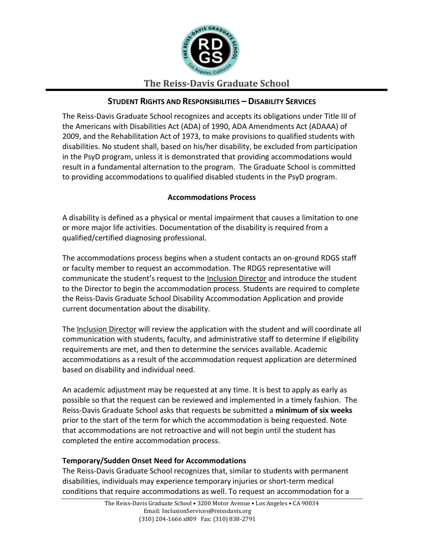

## **STUDENT RIGHTS AND RESPONSIBILITIES – DISABILITY SERVICES**

The Reiss-Davis Graduate School recognizes and accepts its obligations under Title III of the Americans with Disabilities Act (ADA) of 1990, ADA Amendments Act (ADAAA) of 2009, and the Rehabilitation Act of 1973, to make provisions to qualified students with disabilities. No student shall, based on his/her disability, be excluded from participation in the PsyD program, unless it is demonstrated that providing accommodations would result in a fundamental alternation to the program. The Graduate School is committed to providing accommodations to qualified disabled students in the PsyD program.

### **Accommodations Process**

A disability is defined as a physical or mental impairment that causes a limitation to one or more major life activities. Documentation of the disability is required from a qualified/certified diagnosing professional.

The accommodations process begins when a student contacts an on-ground RDGS staff or faculty member to request an accommodation. The RDGS representative will communicate the student's request to the [Inclusion Director](http://www.reissdavis.org/belinda-mcfeeters.html) and introduce the student to the Director to begin the accommodation process. Students are required to complete the Reiss-Davis Graduate School Disability Accommodation Application and provide current documentation about the disability.

The [Inclusion Director](http://www.reissdavis.org/belinda-mcfeeters.html) will review the application with the student and will coordinate all communication with students, faculty, and administrative staff to determine if eligibility requirements are met, and then to determine the services available. Academic accommodations as a result of the accommodation request application are determined based on disability and individual need.

An academic adjustment may be requested at any time. It is best to apply as early as possible so that the request can be reviewed and implemented in a timely fashion. The Reiss-Davis Graduate School asks that requests be submitted a **minimum of six weeks** prior to the start of the term for which the accommodation is being requested. Note that accommodations are not retroactive and will not begin until the student has completed the entire accommodation process.

## **Temporary/Sudden Onset Need for Accommodations**

The Reiss-Davis Graduate School recognizes that, similar to students with permanent disabilities, individuals may experience temporary injuries or short-term medical conditions that require accommodations as well. To request an accommodation for a